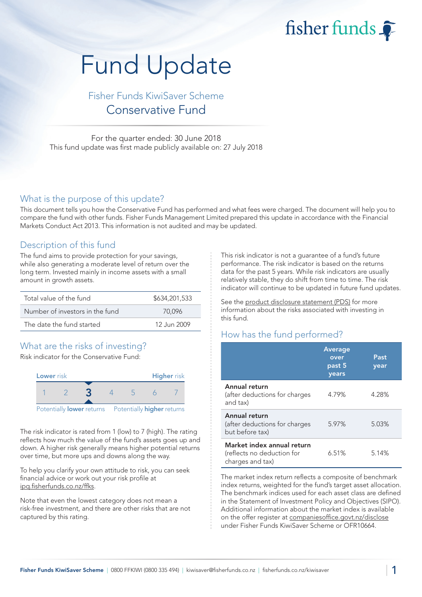fisher funds

# Fund Update

## Fisher Funds KiwiSaver Scheme Conservative Fund

For the quarter ended: 30 June 2018 This fund update was first made publicly available on: 27 July 2018

#### What is the purpose of this update?

This document tells you how the Conservative Fund has performed and what fees were charged. The document will help you to compare the fund with other funds. Fisher Funds Management Limited prepared this update in accordance with the Financial Markets Conduct Act 2013. This information is not audited and may be updated.

### Description of this fund

The fund aims to provide protection for your savings, while also generating a moderate level of return over the long term. Invested mainly in income assets with a small amount in growth assets.

| Total value of the fund         | \$634,201,533 |
|---------------------------------|---------------|
| Number of investors in the fund | 70.096        |
| The date the fund started       | 12 Jun 2009   |

## What are the risks of investing?

Risk indicator for the Conservative Fund:



The risk indicator is rated from 1 (low) to 7 (high). The rating reflects how much the value of the fund's assets goes up and down. A higher risk generally means higher potential returns over time, but more ups and downs along the way.

To help you clarify your own attitude to risk, you can seek financial advice or work out your risk profile at [ipq.fisherfunds.co.nz/ffks.](https://ipq.fisherfunds.co.nz/ffks)

Note that even the lowest category does not mean a risk-free investment, and there are other risks that are not captured by this rating.

This risk indicator is not a guarantee of a fund's future performance. The risk indicator is based on the returns data for the past 5 years. While risk indicators are usually relatively stable, they do shift from time to time. The risk indicator will continue to be updated in future fund updates.

See the [product disclosure statement \(PDS\)](https://fisherfunds.co.nz/assets/PDS/Fisher-Funds-KiwiSaver-Scheme-PDS.pdf) for more information about the risks associated with investing in this fund.

## How has the fund performed?

|                                                                              | <b>Average</b><br>over<br>past 5<br>years | Past<br>year |
|------------------------------------------------------------------------------|-------------------------------------------|--------------|
| Annual return<br>(after deductions for charges<br>and tax)                   | 4.79%                                     | 4.28%        |
| Annual return<br>(after deductions for charges<br>but before tax)            | 5.97%                                     | 5.03%        |
| Market index annual return<br>(reflects no deduction for<br>charges and tax) | 6.51%                                     | 5.14%        |

The market index return reflects a composite of benchmark index returns, weighted for the fund's target asset allocation. The benchmark indices used for each asset class are defined in the Statement of Investment Policy and Objectives (SIPO). Additional information about the market index is available on the offer register at [companiesoffice.govt.nz/disclose](http://companiesoffice.govt.nz/disclose) under Fisher Funds KiwiSaver Scheme or OFR10664.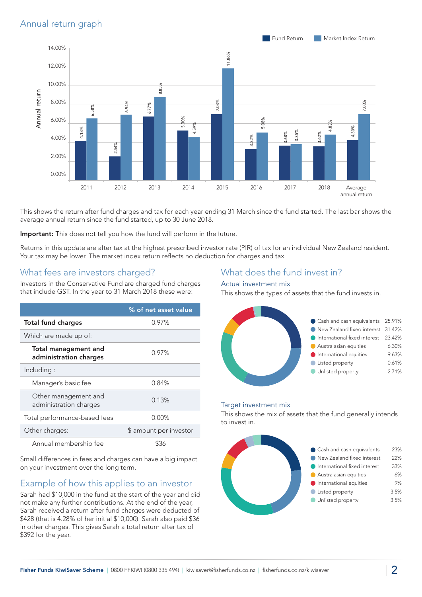

This shows the return after fund charges and tax for each year ending 31 March since the fund started. The last bar shows the average annual return since the fund started, up to 30 June 2018.

Important: This does not tell you how the fund will perform in the future.

Returns in this update are after tax at the highest prescribed investor rate (PIR) of tax for an individual New Zealand resident. Your tax may be lower. The market index return reflects no deduction for charges and tax.

## What fees are investors charged?

Investors in the Conservative Fund are charged fund charges that include GST. In the year to 31 March 2018 these were:

|                                                       | % of net asset value   |
|-------------------------------------------------------|------------------------|
| <b>Total fund charges</b>                             | 0.97%                  |
| Which are made up of:                                 |                        |
| <b>Total management and</b><br>administration charges | $0.97\%$               |
| Including:                                            |                        |
| Manager's basic fee                                   | 0.84%                  |
| Other management and<br>administration charges        | 0.13%                  |
| Total performance-based fees                          | $0.00\%$               |
| Other charges:                                        | \$ amount per investor |
| Annual membership fee                                 | ዌ36                    |

Small differences in fees and charges can have a big impact on your investment over the long term.

## Example of how this applies to an investor

Sarah had \$10,000 in the fund at the start of the year and did not make any further contributions. At the end of the year, Sarah received a return after fund charges were deducted of \$428 (that is 4.28% of her initial \$10,000). Sarah also paid \$36 in other charges. This gives Sarah a total return after tax of \$392 for the year.

### What does the fund invest in?

#### Actual investment mix

This shows the types of assets that the fund invests in.



#### Target investment mix

This shows the mix of assets that the fund generally intends to invest in.